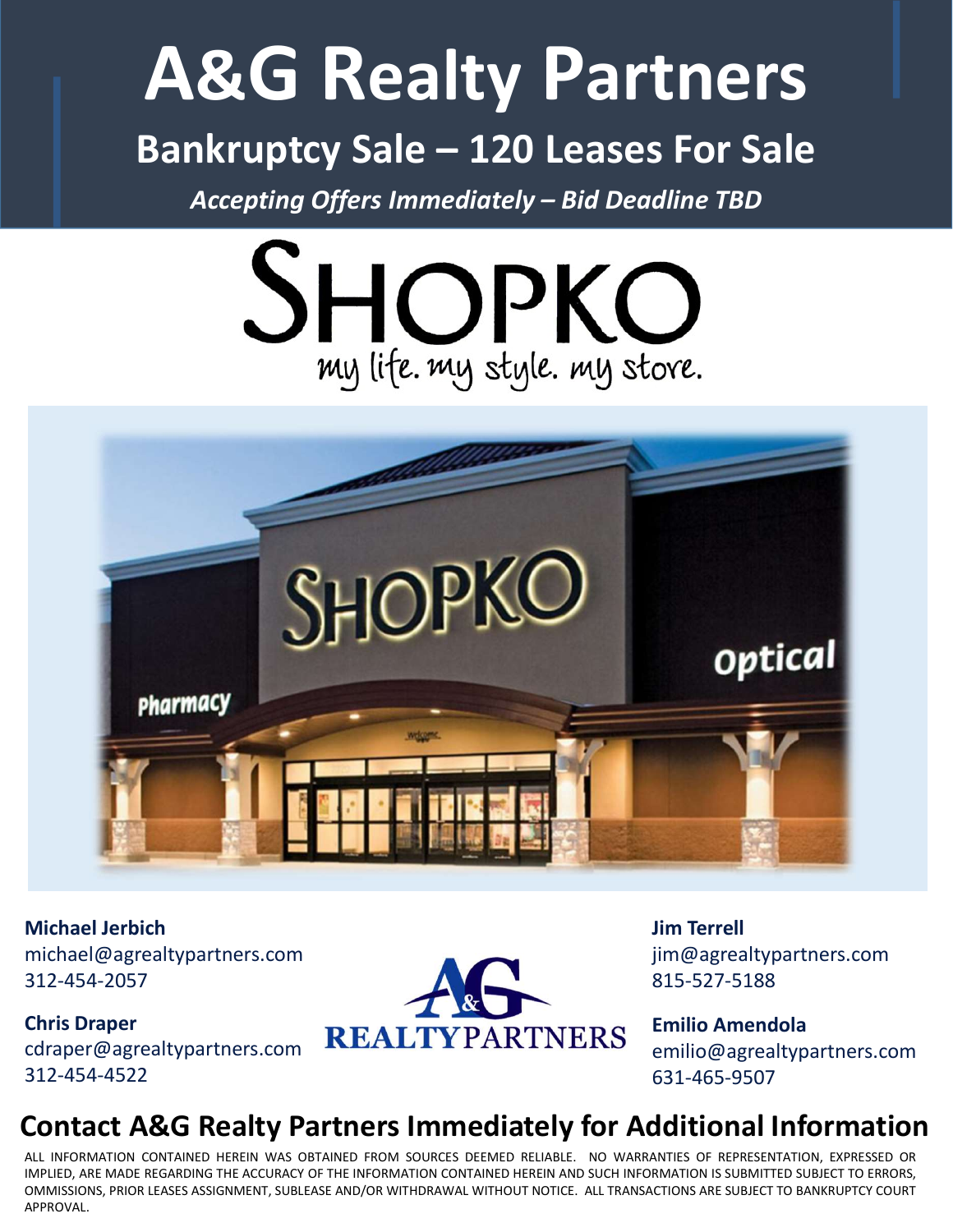## A&G Realty Partners A&G Realty Partners<br>Bankruptcy Sale – 120 Leases For Sale<br>Accepting Offers Immediately – Bid Deadline TBD  $\mathcal{R}$ **G** Realty Partners<br>
Accepting Offers Immediately – Bid Deadline TBD<br>
Accepting Offers Immediately – Bid Deadline TBD<br>
SHODKO





Michael Jerbich michael@agrealtypartners.com 312-454-2057

Chris Draper 312-454-4522



Jim Terrell jim@agrealtypartners.com 815-527-5188

Emilio Amendola emilio@agrealtypartners.com 631-465-9507

## Contact A&G Realty Partners Immediately for Additional Information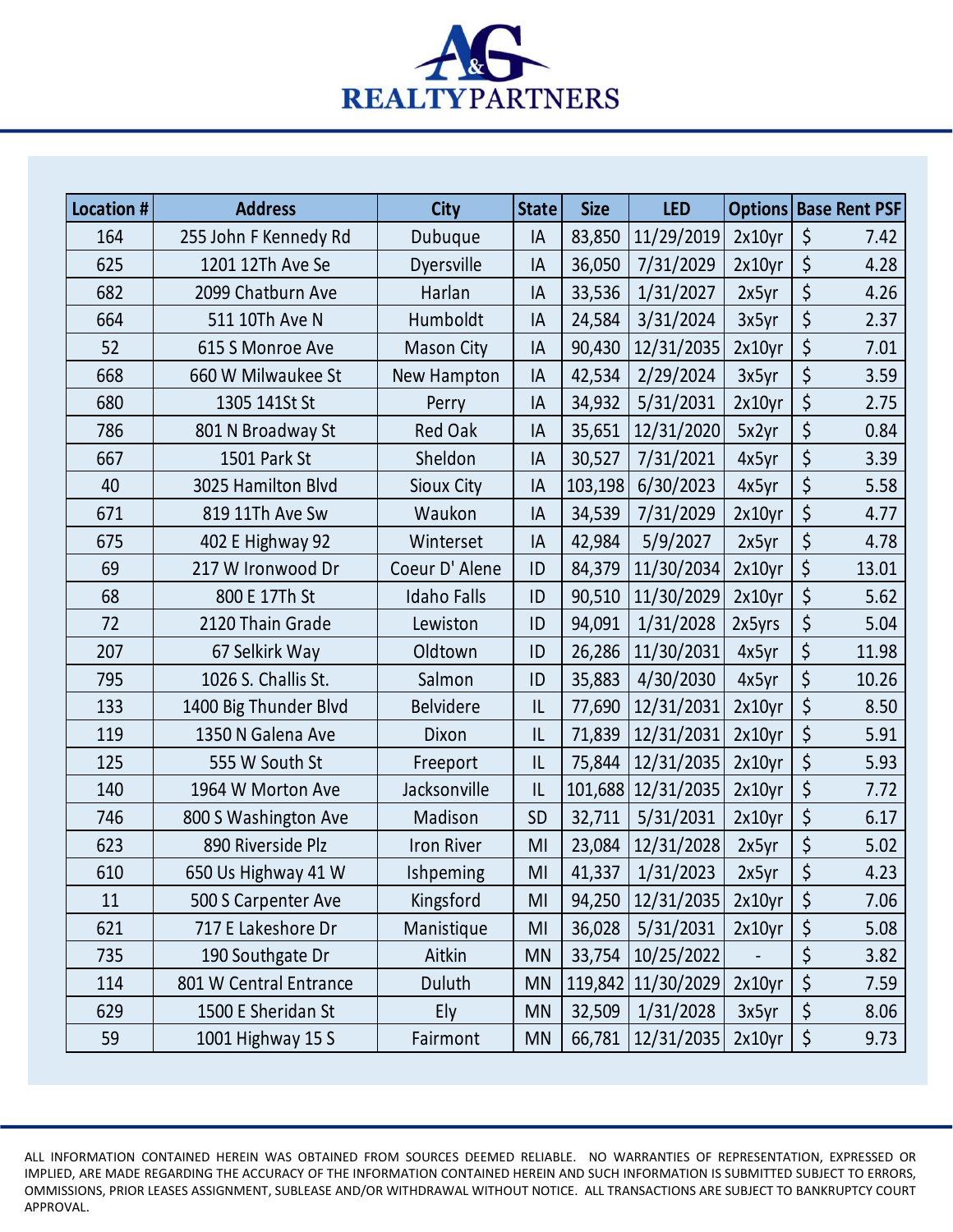

| <b>Location#</b> |                        |                    |           |             |                              |        |         |                              |
|------------------|------------------------|--------------------|-----------|-------------|------------------------------|--------|---------|------------------------------|
|                  | <b>Address</b>         | <b>City</b>        | State     | <b>Size</b> | <b>LED</b>                   |        |         | <b>Options Base Rent PSF</b> |
| 164              | 255 John F Kennedy Rd  | Dubuque            | IA        |             | 83,850   11/29/2019          | 2x10yr | $\zeta$ | 7.42                         |
| 625              | 1201 12Th Ave Se       | Dyersville         | IA        | 36,050      | 7/31/2029                    | 2x10yr | $\zeta$ | 4.28                         |
| 682              | 2099 Chatburn Ave      | Harlan             | IA        | 33,536      | 1/31/2027                    | 2x5yr  | $\zeta$ | 4.26                         |
| 664              | 511 10Th Ave N         | Humboldt           | IA        | 24,584      | 3/31/2024                    | 3x5yr  | $\zeta$ | 2.37                         |
| 52               | 615 S Monroe Ave       | <b>Mason City</b>  | IA        | 90,430      | 12/31/2035                   | 2x10yr | $\zeta$ | 7.01                         |
| 668              | 660 W Milwaukee St     | New Hampton        | IA        | 42,534      | 2/29/2024                    | 3x5yr  | $\zeta$ | 3.59                         |
| 680              | 1305 141St St          | Perry              | IA        | 34,932      | 5/31/2031                    | 2x10yr | $\zeta$ | 2.75                         |
| 786              | 801 N Broadway St      | Red Oak            | IA        |             | 35,651   12/31/2020          | 5x2yr  | $\zeta$ | 0.84                         |
| 667              | 1501 Park St           | Sheldon            | IA        | 30,527      | 7/31/2021                    | 4x5yr  | $\zeta$ | 3.39                         |
| 40               | 3025 Hamilton Blvd     | Sioux City         | IA        |             | 103,198 6/30/2023            | 4x5yr  | $\zeta$ | 5.58                         |
| 671              | 819 11Th Ave Sw        | Waukon             | IA        |             | 34,539 7/31/2029 2x10yr   \$ |        |         | 4.77                         |
| 675              | 402 E Highway 92       | Winterset          | IA        | 42,984      | 5/9/2027                     | 2x5yr  | $\zeta$ | 4.78                         |
| 69               | 217 W Ironwood Dr      | Coeur D'Alene      | ID        |             | 84,379   11/30/2034          | 2x10yr | $\zeta$ | 13.01                        |
| 68               | 800 E 17Th St          | <b>Idaho Falls</b> | ID        |             | 90,510   11/30/2029          | 2x10yr | $\zeta$ | 5.62                         |
| 72               | 2120 Thain Grade       | Lewiston           | ID        | 94,091      | $1/31/2028$ 2x5yrs           |        | $\zeta$ | 5.04                         |
| 207              | 67 Selkirk Way         | Oldtown            | ID        |             | 26,286   11/30/2031          | 4x5yr  | $\zeta$ | 11.98                        |
| 795              | 1026 S. Challis St.    | Salmon             | ID        |             | 35,883   4/30/2030           | 4x5yr  | \$      | 10.26                        |
| 133              | 1400 Big Thunder Blvd  | <b>Belvidere</b>   | 1         |             | 77,690   12/31/2031          | 2x10yr | $\zeta$ | 8.50                         |
| 119              | 1350 N Galena Ave      | Dixon              | 1         |             | 71,839   12/31/2031   2x10yr |        | \$      | 5.91                         |
| 125              | 555 W South St         | Freeport           | 1         |             | 75,844   12/31/2035   2x10yr |        | \$      | 5.93                         |
| 140              | 1964 W Morton Ave      | Jacksonville       | 1         |             | 101,688 12/31/2035 2x10yr    |        | \$      | 7.72                         |
| 746              | 800 S Washington Ave   | Madison            | <b>SD</b> | 32,711      | 5/31/2031                    | 2x10yr | \$      | 6.17                         |
| 623              | 890 Riverside Plz      | Iron River         | MI        |             | 23,084   12/31/2028          | 2x5yr  | \$      | 5.02                         |
| 610              | 650 Us Highway 41 W    | Ishpeming          | MI        | 41,337      | 1/31/2023                    | 2x5yr  |         | 4.23                         |
| 11               | 500 S Carpenter Ave    | Kingsford          | MI        |             | 94,250   12/31/2035   2x10yr |        | $\zeta$ | 7.06                         |
| 621              | 717 E Lakeshore Dr     | Manistique         | MI        | 36,028      | 5/31/2031                    | 2x10yr | $\zeta$ | 5.08                         |
| 735              | 190 Southgate Dr       | Aitkin             | <b>MN</b> |             | 33,754   10/25/2022          |        | \$      | 3.82                         |
| 114              | 801 W Central Entrance | Duluth             | <b>MN</b> |             | 119,842 11/30/2029           | 2x10yr | $\zeta$ | 7.59                         |
| 629              | 1500 E Sheridan St     | Ely                | <b>MN</b> | 32,509      | 1/31/2028                    | 3x5yr  | $\zeta$ | 8.06                         |
| 59               | 1001 Highway 15 S      | Fairmont           | <b>MN</b> |             | 66,781   12/31/2035          | 2x10yr | $\zeta$ | 9.73                         |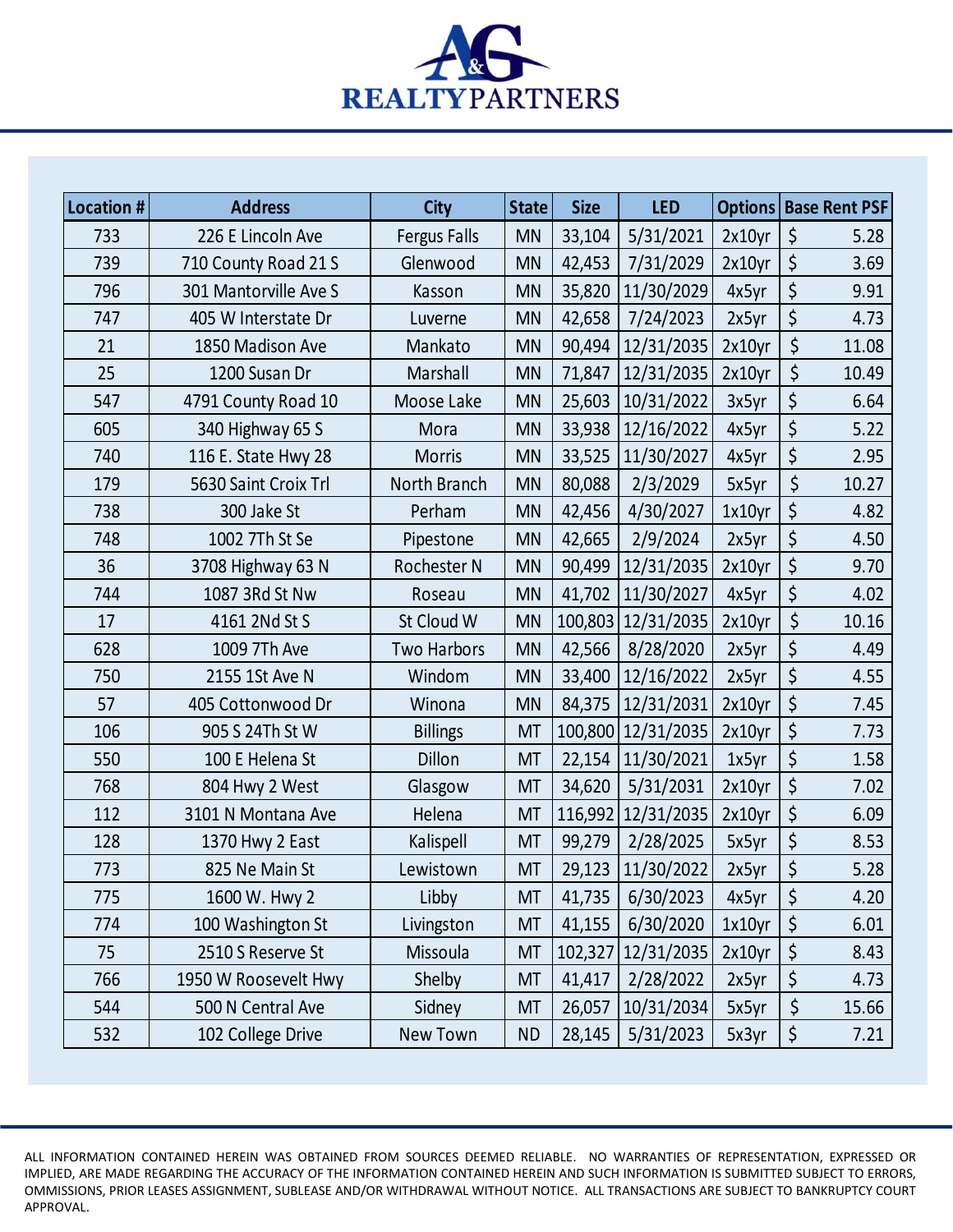

| Location # | <b>Address</b>                      | <b>City</b>           | State                  | <b>Size</b> | <b>LED</b>                                   | <b>Options   Base Rent PSF </b> |                          |              |
|------------|-------------------------------------|-----------------------|------------------------|-------------|----------------------------------------------|---------------------------------|--------------------------|--------------|
| 733        | 226 E Lincoln Ave                   | Fergus Falls          | <b>MN</b>              | 33,104      | 5/31/2021                                    | 2x10yr                          | $\sqrt{5}$               | 5.28         |
| 739        | 710 County Road 21 S                | Glenwood              | <b>MN</b>              | 42,453      | 7/31/2029                                    | 2x10yr                          | $\vert \xi$              | 3.69         |
| 796        | 301 Mantorville Ave S               | Kasson                | <b>MN</b>              |             | 35,820   11/30/2029                          | 4x5yr                           | 15 <sup>1</sup>          | 9.91         |
| 747        | 405 W Interstate Dr                 | Luverne               | <b>MN</b>              | 42,658      | 7/24/2023                                    | 2x5yr                           | $\zeta$                  | 4.73         |
| 21         | 1850 Madison Ave                    | Mankato               | <b>MN</b>              |             | 90,494   12/31/2035                          | 2x10yr                          | \$                       | 11.08        |
| 25         | 1200 Susan Dr                       | Marshall              | <b>MN</b>              | 71,847      | 12/31/2035                                   | 2x10yr                          | $\zeta$                  | 10.49        |
| 547        | 4791 County Road 10                 | Moose Lake            | <b>MN</b>              |             | 25,603   10/31/2022                          | 3x5yr                           | $\zeta$                  | 6.64         |
| 605        | 340 Highway 65 S                    | Mora                  | <b>MN</b>              |             | 33,938   12/16/2022                          | 4x5yr                           | $\zeta$                  | 5.22         |
| 740        | 116 E. State Hwy 28                 | <b>Morris</b>         | <b>MN</b>              |             | 33,525   11/30/2027                          | 4x5yr                           | $\zeta$<br>$\zeta$       | 2.95         |
| 179        | 5630 Saint Croix Trl                | North Branch          | <b>MN</b>              | 80,088      | 2/3/2029                                     | 5x5yr                           |                          | 10.27        |
| 738<br>748 | 300 Jake St<br>1002 7Th St Se       | Perham                | <b>MN</b><br><b>MN</b> |             | 42,456 4/30/2027                             | $1x10$ yr<br>2x5yr              | $\vert \zeta$<br>$\zeta$ | 4.82<br>4.50 |
| 36         |                                     | Pipestone             | <b>MN</b>              | 42,665      | 2/9/2024                                     |                                 |                          | 9.70         |
| 744        | 3708 Highway 63 N<br>1087 3Rd St Nw | Rochester N<br>Roseau | <b>MN</b>              |             | 90,499   12/31/2035  <br>41,702   11/30/2027 | $2x10yr$   \$<br>4x5yr          | \$                       | 4.02         |
| 17         | 4161 2Nd St S                       | St Cloud W            | <b>MN</b>              |             | 100,803   12/31/2035                         | 2x10yr                          | Ś                        | 10.16        |
| 628        | 1009 7Th Ave                        | Two Harbors           | <b>MN</b>              |             | 42,566 8/28/2020                             | 2x5yr                           | $\zeta$                  | 4.49         |
| 750        | 2155 1St Ave N                      | Windom                | <b>MN</b>              |             | 33,400   12/16/2022                          | 2x5yr                           | $\zeta$                  | 4.55         |
| 57         | 405 Cottonwood Dr                   | Winona                | <b>MN</b>              |             | 84,375   12/31/2031                          | $2x10yr$   \$                   |                          | 7.45         |
| 106        | 905 S 24Th St W                     | <b>Billings</b>       | <b>MT</b>              |             | 100,800 12/31/2035                           | $2x10yr$   \$                   |                          | 7.73         |
| 550        | 100 E Helena St                     | <b>Dillon</b>         | <b>MT</b>              |             | 22,154 11/30/2021                            | 1x5yr                           | \$                       | 1.58         |
| 768        | 804 Hwy 2 West                      | Glasgow               | <b>MT</b>              |             | 34,620 5/31/2031                             | 2x10yr                          | $\vert$ \$               | 7.02         |
| 112        | 3101 N Montana Ave                  | Helena                | <b>MT</b>              |             | 116,992 12/31/2035                           | 2x10yr                          | $\vert \xi$              | 6.09         |
| 128        | 1370 Hwy 2 East                     | Kalispell             | <b>MT</b>              | 99,279      | 2/28/2025                                    | 5x5yr                           | $\zeta$                  | 8.53         |
| 773        | 825 Ne Main St                      | Lewistown             | <b>MT</b>              |             | 29,123   11/30/2022                          | 2x5yr                           | $\zeta$                  | 5.28         |
| 775        | 1600 W. Hwy 2                       | Libby                 | <b>MT</b>              | 41,735      | 6/30/2023                                    | 4x5yr                           | $\zeta$                  | 4.20         |
| 774        | 100 Washington St                   | Livingston            | <b>MT</b>              | 41,155      | 6/30/2020                                    | $1x10$ yr                       | 5                        | 6.01         |
| 75         | 2510 S Reserve St                   | Missoula              | <b>MT</b>              |             | 102,327 12/31/2035                           | 2x10yr                          | \$                       | 8.43         |
| 766        | 1950 W Roosevelt Hwy                | Shelby                | <b>MT</b>              | 41,417      | 2/28/2022                                    | 2x5yr                           | $\zeta$                  | 4.73         |
| 544        | 500 N Central Ave                   | Sidney                | <b>MT</b>              |             | 26,057   10/31/2034                          | 5x5yr                           | $\zeta$                  | 15.66        |
| 532        | 102 College Drive                   | New Town              | <b>ND</b>              | 28,145      | 5/31/2023                                    | 5x3yr                           | \$                       | 7.21         |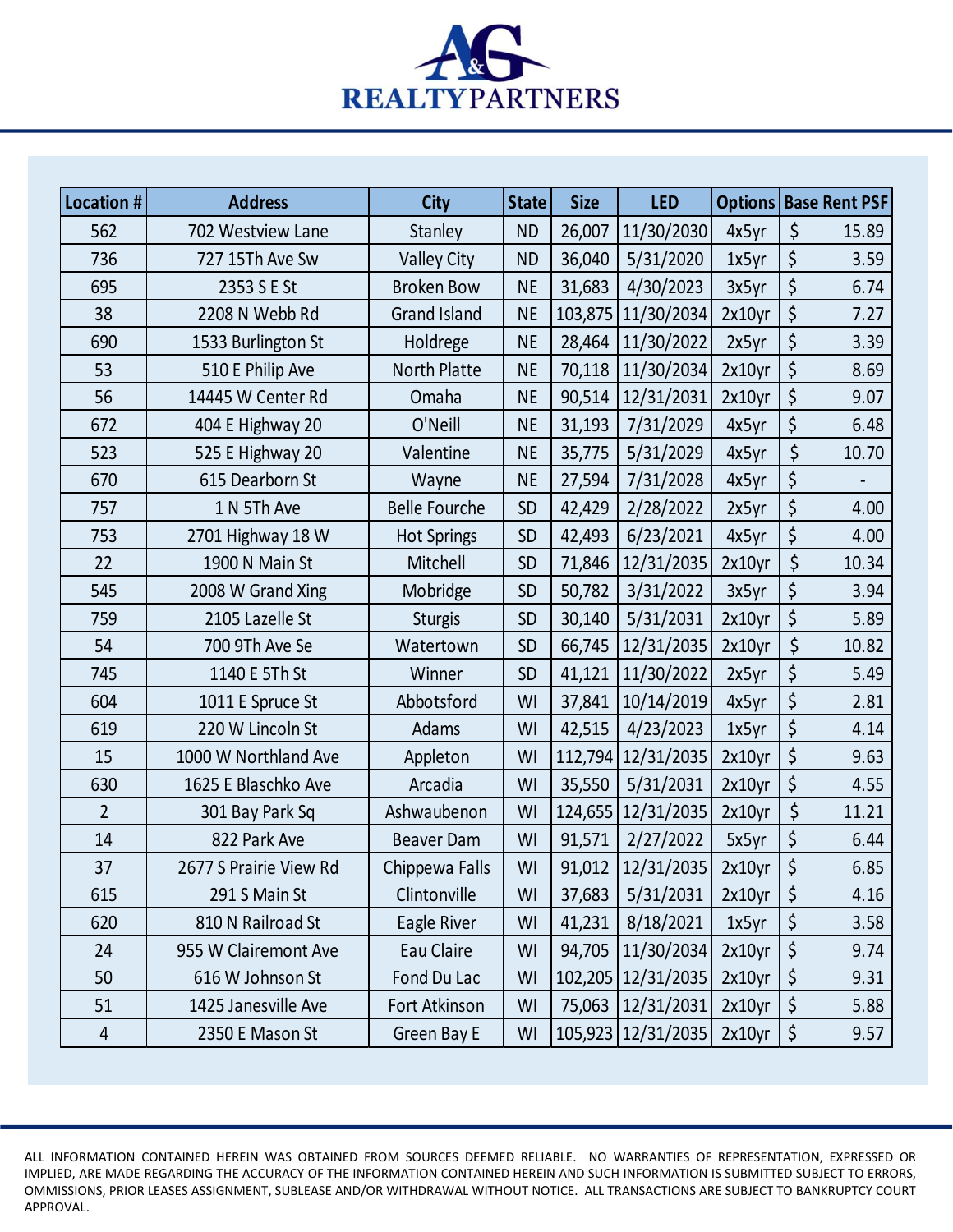

| Location #     | <b>Address</b>         | <b>City</b>          | <b>State</b> | <b>Size</b> | <b>LED</b>             |        |                     | Options   Base Rent PSF |  |  |
|----------------|------------------------|----------------------|--------------|-------------|------------------------|--------|---------------------|-------------------------|--|--|
| 562            | 702 Westview Lane      | Stanley              | <b>ND</b>    | 26,007      | 11/30/2030             | 4x5yr  | $\zeta$             | 15.89                   |  |  |
| 736            | 727 15Th Ave Sw        | <b>Valley City</b>   | <b>ND</b>    | 36,040      | 5/31/2020              | 1x5yr  | $\zeta$             | 3.59                    |  |  |
| 695            | 2353 S E St            | <b>Broken Bow</b>    | <b>NE</b>    | 31,683      | 4/30/2023              | 3x5yr  | $\zeta$             | 6.74                    |  |  |
| 38             | 2208 N Webb Rd         | <b>Grand Island</b>  | <b>NE</b>    |             | 103,875 11/30/2034     | 2x10yr | $\zeta$             | 7.27                    |  |  |
| 690            | 1533 Burlington St     | Holdrege             | <b>NE</b>    |             | 28,464 11/30/2022      | 2x5yr  | $\zeta$             | 3.39                    |  |  |
| 53             | 510 E Philip Ave       | <b>North Platte</b>  | <b>NE</b>    |             | 70,118   11/30/2034    | 2x10yr | $\zeta$             | 8.69                    |  |  |
| 56             | 14445 W Center Rd      | Omaha                | <b>NE</b>    |             | 90,514   12/31/2031    | 2x10yr | $\zeta$             | 9.07                    |  |  |
| 672            | 404 E Highway 20       | O'Neill              | <b>NE</b>    | 31,193      | 7/31/2029              | 4x5yr  | $\zeta$             | 6.48                    |  |  |
| 523            | 525 E Highway 20       | Valentine            | <b>NE</b>    | 35,775      | 5/31/2029              | 4x5yr  | $\zeta$             | 10.70                   |  |  |
| 670            | 615 Dearborn St        | Wayne                | <b>NE</b>    | 27,594      | 7/31/2028              | 4x5yr  | $\zeta$             |                         |  |  |
| 757            | 1 N 5Th Ave            | <b>Belle Fourche</b> | SD           |             | 42,429 2/28/2022       | 2x5yr  | $\vert \zeta \vert$ | 4.00                    |  |  |
| 753            | 2701 Highway 18 W      | <b>Hot Springs</b>   | <b>SD</b>    | 42,493      | 6/23/2021              | 4x5yr  | $\zeta$             | 4.00                    |  |  |
| 22             | 1900 N Main St         | Mitchell             | SD           |             | 71,846   12/31/2035    | 2x10yr | $\zeta$             | 10.34                   |  |  |
| 545            | 2008 W Grand Xing      | Mobridge             | <b>SD</b>    | 50,782      | 3/31/2022              | 3x5yr  | $\zeta$             | 3.94                    |  |  |
| 759            | 2105 Lazelle St        | <b>Sturgis</b>       | SD           | 30,140      | 5/31/2031              | 2x10yr | $\zeta$             | 5.89                    |  |  |
| 54             | 700 9Th Ave Se         | Watertown            | SD           |             | 66,745   12/31/2035    | 2x10yr | $\zeta$             | 10.82                   |  |  |
| 745            | 1140 E 5Th St          | Winner               | SD           |             | 41,121   11/30/2022    | 2x5yr  | $\zeta$             | 5.49                    |  |  |
| 604            | 1011 E Spruce St       | Abbotsford           | WI           |             | 37,841   10/14/2019    | 4x5yr  | \$                  | 2.81                    |  |  |
| 619            | 220 W Lincoln St       | Adams                | WI           | 42,515      | 4/23/2023              | 1x5yr  | $\zeta$             | 4.14                    |  |  |
| 15             | 1000 W Northland Ave   | Appleton             | WI           |             | 112,794 12/31/2035     | 2x10yr | \$                  | 9.63                    |  |  |
| 630            | 1625 E Blaschko Ave    | Arcadia              | WI           |             | $35,550$   $5/31/2031$ | 2x10yr | $\zeta$             | 4.55                    |  |  |
| $\overline{2}$ | 301 Bay Park Sq        | Ashwaubenon          | WI           |             | 124,655   12/31/2035   | 2x10yr |                     | 11.21                   |  |  |
| 14             | 822 Park Ave           | <b>Beaver Dam</b>    | WI           | 91,571      | 2/27/2022              | 5x5yr  | $\zeta$             | 6.44                    |  |  |
| 37             | 2677 S Prairie View Rd | Chippewa Falls       | WI           |             | 91,012   12/31/2035    | 2x10yr | $\zeta$             | 6.85                    |  |  |
| 615            | 291 S Main St          | Clintonville         | WI           | 37,683      | 5/31/2031              | 2x10yr | $\zeta$             | 4.16                    |  |  |
| 620            | 810 N Railroad St      | Eagle River          | WI           | 41,231      | 8/18/2021              | 1x5yr  | $\zeta$             | 3.58                    |  |  |
| 24             | 955 W Clairemont Ave   | Eau Claire           | WI           |             | 94,705   11/30/2034    | 2x10yr | $\zeta$             | 9.74                    |  |  |
| 50             | 616 W Johnson St       | Fond Du Lac          | WI           |             | 102,205 12/31/2035     | 2x10yr | $\zeta$             | 9.31                    |  |  |
| 51             | 1425 Janesville Ave    | Fort Atkinson        | WI           |             | 75,063   12/31/2031    | 2x10yr | $\zeta$             | 5.88                    |  |  |
| 4              | 2350 E Mason St        | Green Bay E          | WI           |             | 105,923   12/31/2035   | 2x10yr | $\vert \xi \vert$   | 9.57                    |  |  |